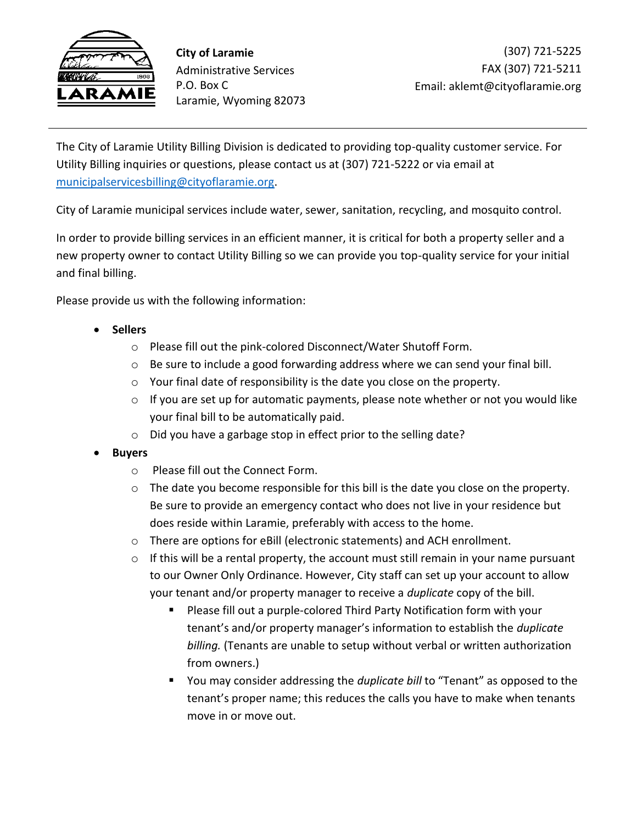

**City of Laramie** Administrative Services P.O. Box C Laramie, Wyoming 82073

The City of Laramie Utility Billing Division is dedicated to providing top-quality customer service. For Utility Billing inquiries or questions, please contact us at (307) 721-5222 or via email at [municipalservicesbilling@cityoflaramie.org.](mailto:municipalservicesbilling@cityoflaramie.org)

City of Laramie municipal services include water, sewer, sanitation, recycling, and mosquito control.

In order to provide billing services in an efficient manner, it is critical for both a property seller and a new property owner to contact Utility Billing so we can provide you top-quality service for your initial and final billing.

Please provide us with the following information:

- **Sellers**
	- o Please fill out the pink-colored Disconnect/Water Shutoff Form.
	- $\circ$  Be sure to include a good forwarding address where we can send your final bill.
	- o Your final date of responsibility is the date you close on the property.
	- o If you are set up for automatic payments, please note whether or not you would like your final bill to be automatically paid.
	- o Did you have a garbage stop in effect prior to the selling date?
- **Buyers**
	- o Please fill out the Connect Form.
	- o The date you become responsible for this bill is the date you close on the property. Be sure to provide an emergency contact who does not live in your residence but does reside within Laramie, preferably with access to the home.
	- o There are options for eBill (electronic statements) and ACH enrollment.
	- $\circ$  If this will be a rental property, the account must still remain in your name pursuant to our Owner Only Ordinance. However, City staff can set up your account to allow your tenant and/or property manager to receive a *duplicate* copy of the bill.
		- Please fill out a purple-colored Third Party Notification form with your tenant's and/or property manager's information to establish the *duplicate billing.* (Tenants are unable to setup without verbal or written authorization from owners.)
		- You may consider addressing the *duplicate bill* to "Tenant" as opposed to the tenant's proper name; this reduces the calls you have to make when tenants move in or move out.